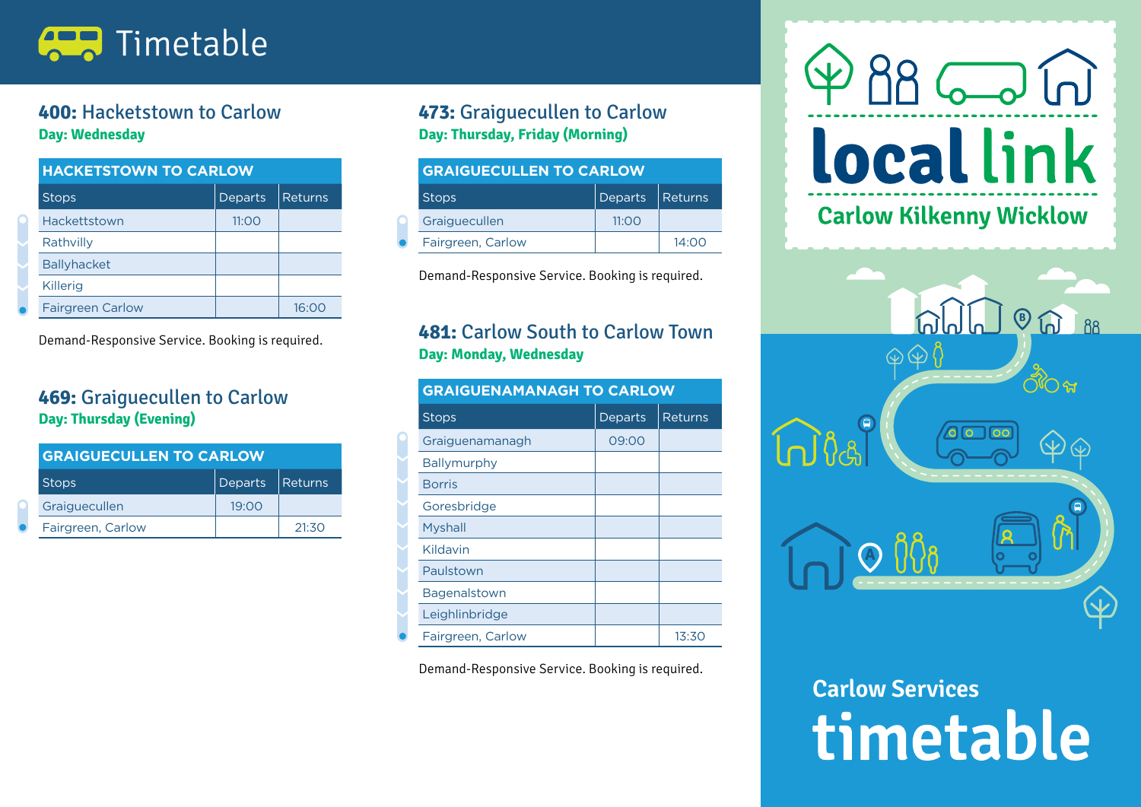

#### **400:** Hacketstown to Carlow **Day: Wednesday**

| <b>HACKETSTOWN TO CARLOW</b> |         |         |
|------------------------------|---------|---------|
| <b>Stops</b>                 | Departs | Returns |
| Hackettstown                 | 11:OO   |         |
| Rathvilly                    |         |         |
| <b>Ballyhacket</b>           |         |         |
| <b>Killerig</b>              |         |         |
| <b>Fairgreen Carlow</b>      |         | 16∙0€   |

Demand-Responsive Service. Booking is required.

#### **469:** Graiguecullen to Carlow **Day: Thursday (Evening)**

| <b>GRAIGUECULLEN TO CARLOW</b> |                 |       |
|--------------------------------|-----------------|-------|
| <b>Stops</b>                   | Departs Returns |       |
| Graiguecullen                  | 19:00           |       |
| Fairgreen, Carlow              |                 | 21:30 |

#### **473:** Graiguecullen to Carlow **Day: Thursday, Friday (Morning)**

| <b>GRAIGUECULLEN TO CARLOW</b> |         |           |
|--------------------------------|---------|-----------|
| Stops                          | Departs | l Returns |
| Graiguecullen                  | 11:OO   |           |
| Fairgreen, Carlow              |         | 14:00     |

Demand-Responsive Service. Booking is required.

#### **481:** Carlow South to Carlow Town **Day: Monday, Wednesday**

| <b>GRAIGUENAMANAGH TO CARLOW</b> |         |                |
|----------------------------------|---------|----------------|
| <b>Stops</b>                     | Departs | <b>Returns</b> |
| Graiguenamanagh                  | 09:00   |                |
| Ballymurphy                      |         |                |
| <b>Borris</b>                    |         |                |
| Goresbridge                      |         |                |
| Myshall                          |         |                |
| Kildavin                         |         |                |
| Paulstown                        |         |                |
| Bagenalstown                     |         |                |
| Leighlinbridge                   |         |                |
| Fairgreen, Carlow                |         | 13:30          |

Demand-Responsive Service. Booking is required.

# 88 6 6 **locallink Carlow Kilkenny Wicklow**



## **Carlow Services**timetable